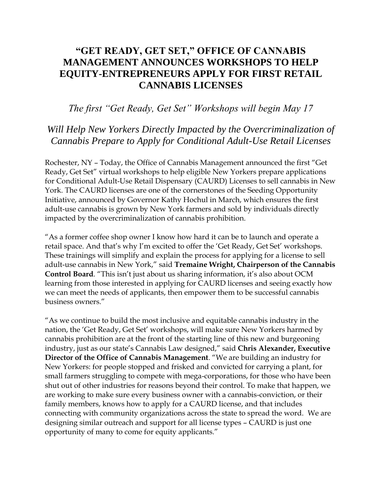# **"GET READY, GET SET," OFFICE OF CANNABIS MANAGEMENT ANNOUNCES WORKSHOPS TO HELP EQUITY-ENTREPRENEURS APPLY FOR FIRST RETAIL CANNABIS LICENSES**

### *The first "Get Ready, Get Set" Workshops will begin May 17*

## *Will Help New Yorkers Directly Impacted by the Overcriminalization of Cannabis Prepare to Apply for Conditional Adult-Use Retail Licenses*

Rochester, NY – Today, the Office of Cannabis Management announced the first "Get Ready, Get Set" virtual workshops to help eligible New Yorkers prepare applications for Conditional Adult-Use Retail Dispensary (CAURD) Licenses to sell cannabis in New York. The CAURD licenses are one of the cornerstones of the Seeding Opportunity Initiative, announced by Governor Kathy Hochul in March, which ensures the first adult-use cannabis is grown by New York farmers and sold by individuals directly impacted by the overcriminalization of cannabis prohibition.

"As a former coffee shop owner I know how hard it can be to launch and operate a retail space. And that's why I'm excited to offer the 'Get Ready, Get Set' workshops. These trainings will simplify and explain the process for applying for a license to sell adult-use cannabis in New York," said **Tremaine Wright, Chairperson of the Cannabis Control Board**. "This isn't just about us sharing information, it's also about OCM learning from those interested in applying for CAURD licenses and seeing exactly how we can meet the needs of applicants, then empower them to be successful cannabis business owners."

"As we continue to build the most inclusive and equitable cannabis industry in the nation, the 'Get Ready, Get Set' workshops, will make sure New Yorkers harmed by cannabis prohibition are at the front of the starting line of this new and burgeoning industry, just as our state's Cannabis Law designed," said **Chris Alexander, Executive Director of the Office of Cannabis Management**. "We are building an industry for New Yorkers: for people stopped and frisked and convicted for carrying a plant, for small farmers struggling to compete with mega-corporations, for those who have been shut out of other industries for reasons beyond their control. To make that happen, we are working to make sure every business owner with a cannabis-conviction, or their family members, knows how to apply for a CAURD license, and that includes connecting with community organizations across the state to spread the word. We are designing similar outreach and support for all license types – CAURD is just one opportunity of many to come for equity applicants."